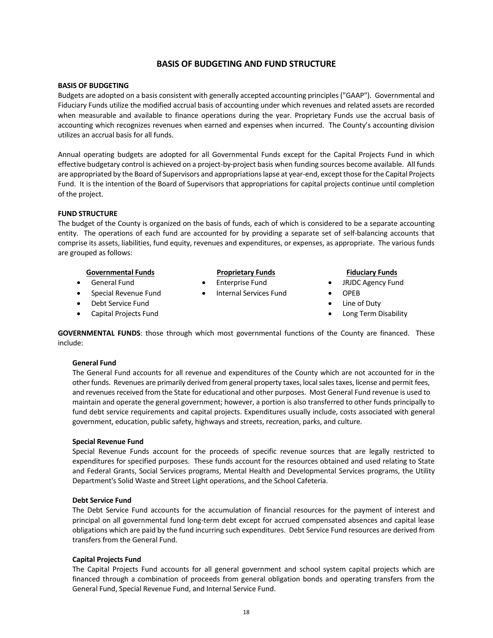# **BASIS OF BUDGETING AND FUND STRUCTURE**

## **BASIS OF BUDGETING**

Budgets are adopted on a basis consistent with generally accepted accounting principles ("GAAP"). Governmental and Fiduciary Funds utilize the modified accrual basis of accounting under which revenues and related assets are recorded when measurable and available to finance operations during the year. Proprietary Funds use the accrual basis of accounting which recognizes revenues when earned and expenses when incurred. The County's accounting division utilizes an accrual basis for all funds.

Annual operating budgets are adopted for all Governmental Funds except for the Capital Projects Fund in which effective budgetary control is achieved on a project-by-project basis when funding sources become available. All funds are appropriated by the Board of Supervisors and appropriations lapse at year-end, except those for the Capital Projects Fund. It is the intention of the Board of Supervisors that appropriations for capital projects continue until completion of the project.

# **FUND STRUCTURE**

The budget of the County is organized on the basis of funds, each of which is considered to be a separate accounting entity. The operations of each fund are accounted for by providing a separate set of self-balancing accounts that comprise its assets, liabilities, fund equity, revenues and expenditures, or expenses, as appropriate. The various funds are grouped as follows:

# **Governmental Funds Proprietary Funds Fiduciary Funds**

- General Fund
- Special Revenue Fund
- Debt Service Fund
- Capital Projects Fund

- Enterprise Fund
- Internal Services Fund

- JRJDC Agency Fund
- OPEB
- Line of Duty
- Long Term Disability

**GOVERNMENTAL FUNDS**: those through which most governmental functions of the County are financed. These include:

#### **General Fund**

The General Fund accounts for all revenue and expenditures of the County which are not accounted for in the other funds. Revenues are primarily derived from general property taxes, local sales taxes, license and permit fees, and revenues received from the State for educational and other purposes. Most General Fund revenue is used to maintain and operate the general government; however, a portion is also transferred to other funds principally to fund debt service requirements and capital projects. Expenditures usually include, costs associated with general government, education, public safety, highways and streets, recreation, parks, and culture.

#### **Special Revenue Fund**

Special Revenue Funds account for the proceeds of specific revenue sources that are legally restricted to expenditures for specified purposes. These funds account for the resources obtained and used relating to State and Federal Grants, Social Services programs, Mental Health and Developmental Services programs, the Utility Department's Solid Waste and Street Light operations, and the School Cafeteria.

# **Debt Service Fund**

The Debt Service Fund accounts for the accumulation of financial resources for the payment of interest and principal on all governmental fund long-term debt except for accrued compensated absences and capital lease obligations which are paid by the fund incurring such expenditures. Debt Service Fund resources are derived from transfers from the General Fund.

#### **Capital Projects Fund**

The Capital Projects Fund accounts for all general government and school system capital projects which are financed through a combination of proceeds from general obligation bonds and operating transfers from the General Fund, Special Revenue Fund, and Internal Service Fund.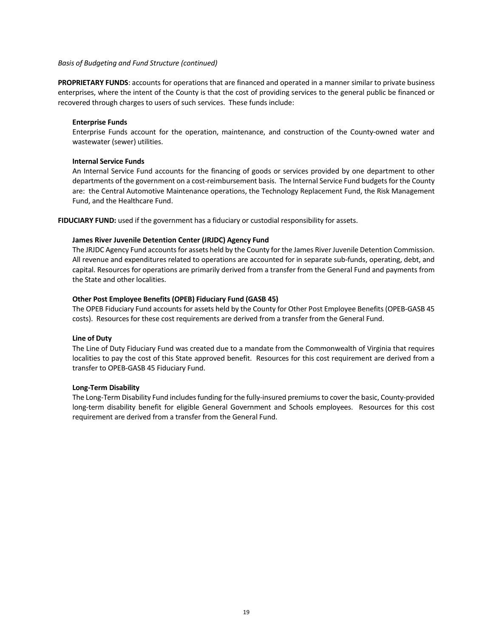#### *Basis of Budgeting and Fund Structure (continued)*

**PROPRIETARY FUNDS**: accounts for operations that are financed and operated in a manner similar to private business enterprises, where the intent of the County is that the cost of providing services to the general public be financed or recovered through charges to users of such services. These funds include:

## **Enterprise Funds**

Enterprise Funds account for the operation, maintenance, and construction of the County-owned water and wastewater (sewer) utilities.

# **Internal Service Funds**

An Internal Service Fund accounts for the financing of goods or services provided by one department to other departments of the government on a cost-reimbursement basis. The Internal Service Fund budgets for the County are: the Central Automotive Maintenance operations, the Technology Replacement Fund, the Risk Management Fund, and the Healthcare Fund.

**FIDUCIARY FUND:** used if the government has a fiduciary or custodial responsibility for assets.

# **James River Juvenile Detention Center (JRJDC) Agency Fund**

The JRJDC Agency Fund accounts for assets held by the County for the James River Juvenile Detention Commission. All revenue and expenditures related to operations are accounted for in separate sub-funds, operating, debt, and capital. Resources for operations are primarily derived from a transfer from the General Fund and payments from the State and other localities.

# **Other Post Employee Benefits (OPEB) Fiduciary Fund (GASB 45)**

The OPEB Fiduciary Fund accounts for assets held by the County for Other Post Employee Benefits (OPEB-GASB 45 costs). Resources for these cost requirements are derived from a transfer from the General Fund.

# **Line of Duty**

The Line of Duty Fiduciary Fund was created due to a mandate from the Commonwealth of Virginia that requires localities to pay the cost of this State approved benefit. Resources for this cost requirement are derived from a transfer to OPEB-GASB 45 Fiduciary Fund.

#### **Long-Term Disability**

The Long-Term Disability Fund includes funding for the fully-insured premiums to cover the basic, County-provided long-term disability benefit for eligible General Government and Schools employees. Resources for this cost requirement are derived from a transfer from the General Fund.